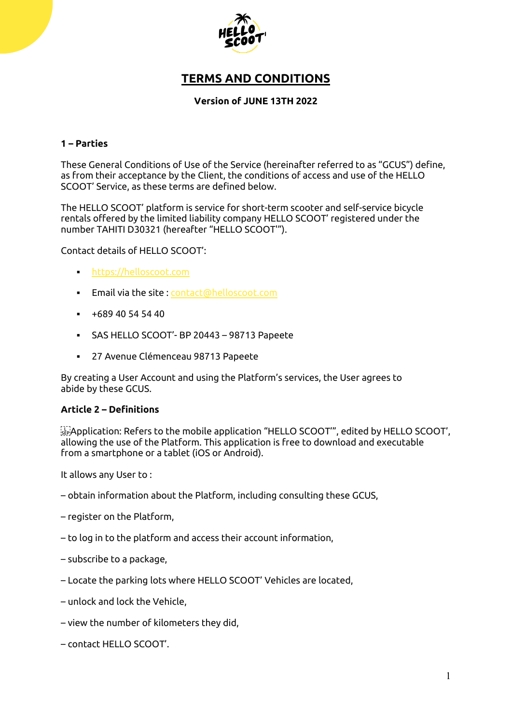

# **TERMS AND CONDITIONS**

# **Version of JUNE 13TH 2022**

# **1 – Parties**

These General Conditions of Use of the Service (hereinafter referred to as "GCUS") define, as from their acceptance by the Client, the conditions of access and use of the HELLO SCOOT' Service, as these terms are defined below.

The HELLO SCOOT' platform is service for short-term scooter and self-service bicycle rentals offered by the limited liability company HELLO SCOOT' registered under the number TAHITI D30321 (hereafter "HELLO SCOOT'").

Contact details of HELLO SCOOT':

- [https://helloscoot.com](https://helloscoot.com/)
- **Email via the site : [contact@helloscoot.com](mailto:contact@helloscoot.com)**
- $+68940545440$
- SAS HELLO SCOOT'- BP 20443 98713 Papeete
- 27 Avenue Clémenceau 98713 Papeete

By creating a User Account and using the Platform's services, the User agrees to abide by these GCUS.

#### **Article 2 – Definitions**

 $\mathbb{R}$  Application: Refers to the mobile application "HELLO SCOOT", edited by HELLO SCOOT', allowing the use of the Platform. This application is free to download and executable from a smartphone or a tablet (iOS or Android).

It allows any User to :

- obtain information about the Platform, including consulting these GCUS,
- register on the Platform,
- to log in to the platform and access their account information,
- subscribe to a package,
- Locate the parking lots where HELLO SCOOT' Vehicles are located,
- unlock and lock the Vehicle,
- view the number of kilometers they did,
- contact HELLO SCOOT'.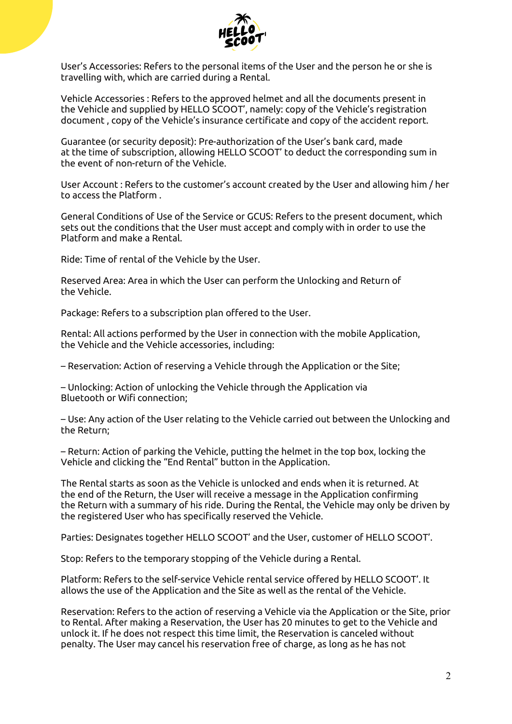

User's Accessories: Refers to the personal items of the User and the person he or she is travelling with, which are carried during a Rental.

Vehicle Accessories : Refers to the approved helmet and all the documents present in the Vehicle and supplied by HELLO SCOOT', namely: copy of the Vehicle's registration document , copy of the Vehicle's insurance certificate and copy of the accident report.

Guarantee (or security deposit): Pre-authorization of the User's bank card, made at the time of subscription, allowing HELLO SCOOT' to deduct the corresponding sum in the event of non-return of the Vehicle.

User Account : Refers to the customer's account created by the User and allowing him / her to access the Platform .

General Conditions of Use of the Service or GCUS: Refers to the present document, which sets out the conditions that the User must accept and comply with in order to use the Platform and make a Rental.

Ride: Time of rental of the Vehicle by the User.

Reserved Area: Area in which the User can perform the Unlocking and Return of the Vehicle.

Package: Refers to a subscription plan offered to the User.

Rental: All actions performed by the User in connection with the mobile Application, the Vehicle and the Vehicle accessories, including:

– Reservation: Action of reserving a Vehicle through the Application or the Site;

– Unlocking: Action of unlocking the Vehicle through the Application via Bluetooth or Wifi connection;

– Use: Any action of the User relating to the Vehicle carried out between the Unlocking and the Return;

– Return: Action of parking the Vehicle, putting the helmet in the top box, locking the Vehicle and clicking the "End Rental" button in the Application.

The Rental starts as soon as the Vehicle is unlocked and ends when it is returned. At the end of the Return, the User will receive a message in the Application confirming the Return with a summary of his ride. During the Rental, the Vehicle may only be driven by the registered User who has specifically reserved the Vehicle.

Parties: Designates together HELLO SCOOT' and the User, customer of HELLO SCOOT'.

Stop: Refers to the temporary stopping of the Vehicle during a Rental.

Platform: Refers to the self-service Vehicle rental service offered by HELLO SCOOT'. It allows the use of the Application and the Site as well as the rental of the Vehicle.

Reservation: Refers to the action of reserving a Vehicle via the Application or the Site, prior to Rental. After making a Reservation, the User has 20 minutes to get to the Vehicle and unlock it. If he does not respect this time limit, the Reservation is canceled without penalty. The User may cancel his reservation free of charge, as long as he has not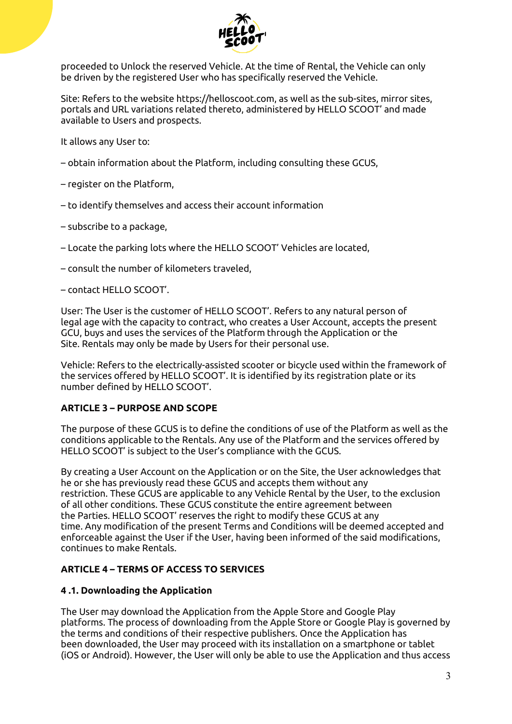

proceeded to Unlock the reserved Vehicle. At the time of Rental, the Vehicle can only be driven by the registered User who has specifically reserved the Vehicle.

Site: Refers to the website https://helloscoot.com, as well as the sub-sites, mirror sites, portals and URL variations related thereto, administered by HELLO SCOOT' and made available to Users and prospects.

It allows any User to:

- obtain information about the Platform, including consulting these GCUS,
- register on the Platform,
- to identify themselves and access their account information
- subscribe to a package,
- Locate the parking lots where the HELLO SCOOT' Vehicles are located,
- consult the number of kilometers traveled,
- contact HELLO SCOOT'.

User: The User is the customer of HELLO SCOOT'. Refers to any natural person of legal age with the capacity to contract, who creates a User Account, accepts the present GCU, buys and uses the services of the Platform through the Application or the Site. Rentals may only be made by Users for their personal use.

Vehicle: Refers to the electrically-assisted scooter or bicycle used within the framework of the services offered by HELLO SCOOT'. It is identified by its registration plate or its number defined by HELLO SCOOT'.

# **ARTICLE 3 – PURPOSE AND SCOPE**

The purpose of these GCUS is to define the conditions of use of the Platform as well as the conditions applicable to the Rentals. Any use of the Platform and the services offered by HELLO SCOOT' is subject to the User's compliance with the GCUS.

By creating a User Account on the Application or on the Site, the User acknowledges that he or she has previously read these GCUS and accepts them without any restriction. These GCUS are applicable to any Vehicle Rental by the User, to the exclusion of all other conditions. These GCUS constitute the entire agreement between the Parties. HELLO SCOOT' reserves the right to modify these GCUS at any time. Any modification of the present Terms and Conditions will be deemed accepted and enforceable against the User if the User, having been informed of the said modifications, continues to make Rentals.

# **ARTICLE 4 – TERMS OF ACCESS TO SERVICES**

# **4 .1. Downloading the Application**

The User may download the Application from the Apple Store and Google Play platforms. The process of downloading from the Apple Store or Google Play is governed by the terms and conditions of their respective publishers. Once the Application has been downloaded, the User may proceed with its installation on a smartphone or tablet (iOS or Android). However, the User will only be able to use the Application and thus access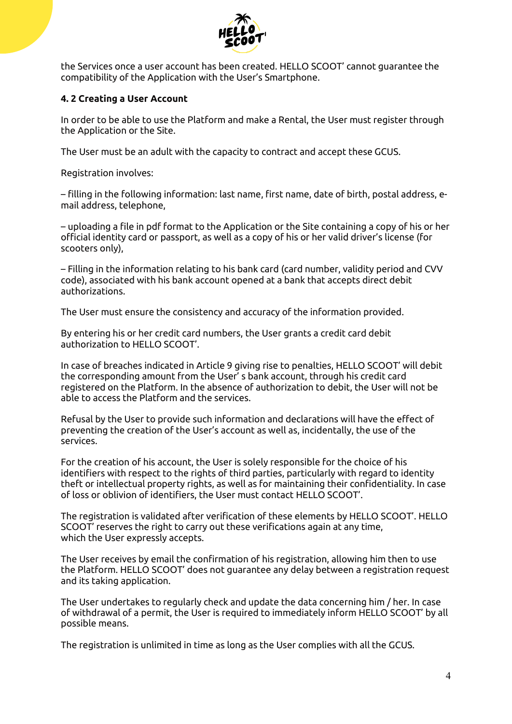

the Services once a user account has been created. HELLO SCOOT' cannot guarantee the compatibility of the Application with the User's Smartphone.

# **4. 2 Creating a User Account**

In order to be able to use the Platform and make a Rental, the User must register through the Application or the Site.

The User must be an adult with the capacity to contract and accept these GCUS.

Registration involves:

– filling in the following information: last name, first name, date of birth, postal address, email address, telephone,

– uploading a file in pdf format to the Application or the Site containing a copy of his or her official identity card or passport, as well as a copy of his or her valid driver's license (for scooters only),

– Filling in the information relating to his bank card (card number, validity period and CVV code), associated with his bank account opened at a bank that accepts direct debit authorizations.

The User must ensure the consistency and accuracy of the information provided.

By entering his or her credit card numbers, the User grants a credit card debit authorization to HELLO SCOOT'.

In case of breaches indicated in Article 9 giving rise to penalties, HELLO SCOOT' will debit the corresponding amount from the User' s bank account, through his credit card registered on the Platform. In the absence of authorization to debit, the User will not be able to access the Platform and the services.

Refusal by the User to provide such information and declarations will have the effect of preventing the creation of the User's account as well as, incidentally, the use of the services.

For the creation of his account, the User is solely responsible for the choice of his identifiers with respect to the rights of third parties, particularly with regard to identity theft or intellectual property rights, as well as for maintaining their confidentiality. In case of loss or oblivion of identifiers, the User must contact HELLO SCOOT'.

The registration is validated after verification of these elements by HELLO SCOOT'. HELLO SCOOT' reserves the right to carry out these verifications again at any time, which the User expressly accepts.

The User receives by email the confirmation of his registration, allowing him then to use the Platform. HELLO SCOOT' does not guarantee any delay between a registration request and its taking application.

The User undertakes to regularly check and update the data concerning him / her. In case of withdrawal of a permit, the User is required to immediately inform HELLO SCOOT' by all possible means.

The registration is unlimited in time as long as the User complies with all the GCUS.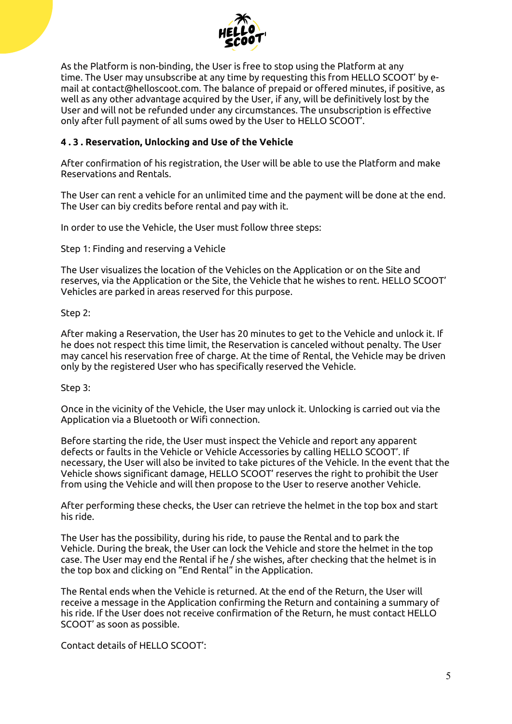

As the Platform is non-binding, the User is free to stop using the Platform at any time. The User may unsubscribe at any time by requesting this from HELLO SCOOT' by email at contact@helloscoot.com. The balance of prepaid or offered minutes, if positive, as well as any other advantage acquired by the User, if any, will be definitively lost by the User and will not be refunded under any circumstances. The unsubscription is effective only after full payment of all sums owed by the User to HELLO SCOOT'.

# **4 . 3 . Reservation, Unlocking and Use of the Vehicle**

After confirmation of his registration, the User will be able to use the Platform and make Reservations and Rentals.

The User can rent a vehicle for an unlimited time and the payment will be done at the end. The User can biy credits before rental and pay with it.

In order to use the Vehicle, the User must follow three steps:

Step 1: Finding and reserving a Vehicle

The User visualizes the location of the Vehicles on the Application or on the Site and reserves, via the Application or the Site, the Vehicle that he wishes to rent. HELLO SCOOT' Vehicles are parked in areas reserved for this purpose.

Step 2:

After making a Reservation, the User has 20 minutes to get to the Vehicle and unlock it. If he does not respect this time limit, the Reservation is canceled without penalty. The User may cancel his reservation free of charge. At the time of Rental, the Vehicle may be driven only by the registered User who has specifically reserved the Vehicle.

Step 3:

Once in the vicinity of the Vehicle, the User may unlock it. Unlocking is carried out via the Application via a Bluetooth or Wifi connection.

Before starting the ride, the User must inspect the Vehicle and report any apparent defects or faults in the Vehicle or Vehicle Accessories by calling HELLO SCOOT'. If necessary, the User will also be invited to take pictures of the Vehicle. In the event that the Vehicle shows significant damage, HELLO SCOOT' reserves the right to prohibit the User from using the Vehicle and will then propose to the User to reserve another Vehicle.

After performing these checks, the User can retrieve the helmet in the top box and start his ride.

The User has the possibility, during his ride, to pause the Rental and to park the Vehicle. During the break, the User can lock the Vehicle and store the helmet in the top case. The User may end the Rental if he / she wishes, after checking that the helmet is in the top box and clicking on "End Rental" in the Application.

The Rental ends when the Vehicle is returned. At the end of the Return, the User will receive a message in the Application confirming the Return and containing a summary of his ride. If the User does not receive confirmation of the Return, he must contact HELLO SCOOT' as soon as possible.

Contact details of HELLO SCOOT':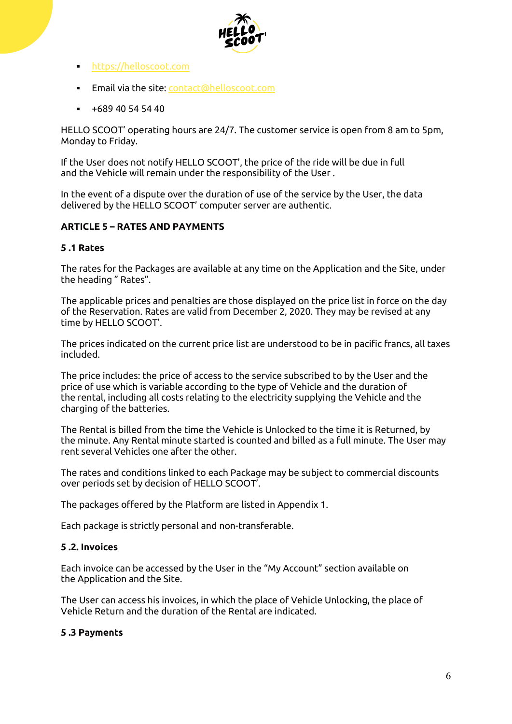

- [https://helloscoot.com](https://helloscoot.com/)
- **Email via the site: [contact@helloscoot.com](mailto:contact@helloscoot.com)**
- $+68940545440$

HELLO SCOOT' operating hours are 24/7. The customer service is open from 8 am to 5pm, Monday to Friday.

If the User does not notify HELLO SCOOT', the price of the ride will be due in full and the Vehicle will remain under the responsibility of the User .

In the event of a dispute over the duration of use of the service by the User, the data delivered by the HELLO SCOOT' computer server are authentic.

# **ARTICLE 5 – RATES AND PAYMENTS**

#### **5 .1 Rates**

The rates for the Packages are available at any time on the Application and the Site, under the heading " Rates".

The applicable prices and penalties are those displayed on the price list in force on the day of the Reservation. Rates are valid from December 2, 2020. They may be revised at any time by HELLO SCOOT'.

The prices indicated on the current price list are understood to be in pacific francs, all taxes included.

The price includes: the price of access to the service subscribed to by the User and the price of use which is variable according to the type of Vehicle and the duration of the rental, including all costs relating to the electricity supplying the Vehicle and the charging of the batteries.

The Rental is billed from the time the Vehicle is Unlocked to the time it is Returned, by the minute. Any Rental minute started is counted and billed as a full minute. The User may rent several Vehicles one after the other.

The rates and conditions linked to each Package may be subject to commercial discounts over periods set by decision of HELLO SCOOT'.

The packages offered by the Platform are listed in Appendix 1.

Each package is strictly personal and non-transferable.

#### **5 .2. Invoices**

Each invoice can be accessed by the User in the "My Account" section available on the Application and the Site.

The User can access his invoices, in which the place of Vehicle Unlocking, the place of Vehicle Return and the duration of the Rental are indicated.

#### **5 .3 Payments**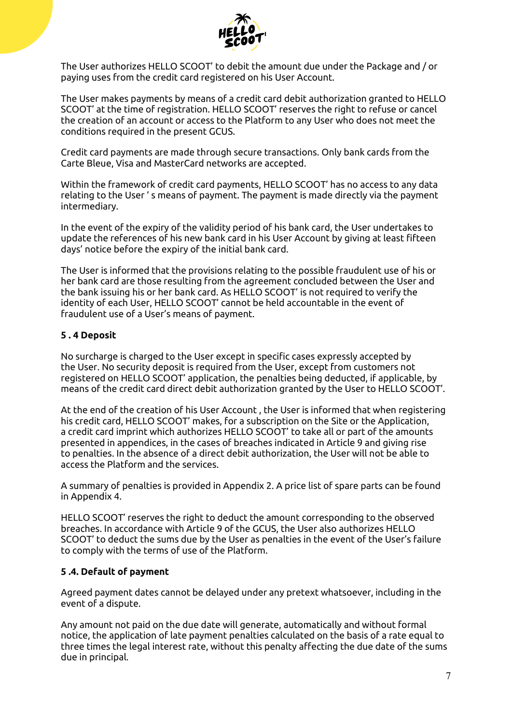

The User authorizes HELLO SCOOT' to debit the amount due under the Package and / or paying uses from the credit card registered on his User Account.

The User makes payments by means of a credit card debit authorization granted to HELLO SCOOT' at the time of registration. HELLO SCOOT' reserves the right to refuse or cancel the creation of an account or access to the Platform to any User who does not meet the conditions required in the present GCUS.

Credit card payments are made through secure transactions. Only bank cards from the Carte Bleue, Visa and MasterCard networks are accepted.

Within the framework of credit card payments, HELLO SCOOT' has no access to any data relating to the User ' s means of payment. The payment is made directly via the payment intermediary.

In the event of the expiry of the validity period of his bank card, the User undertakes to update the references of his new bank card in his User Account by giving at least fifteen days' notice before the expiry of the initial bank card.

The User is informed that the provisions relating to the possible fraudulent use of his or her bank card are those resulting from the agreement concluded between the User and the bank issuing his or her bank card. As HELLO SCOOT' is not required to verify the identity of each User, HELLO SCOOT' cannot be held accountable in the event of fraudulent use of a User's means of payment.

#### **5 . 4 Deposit**

No surcharge is charged to the User except in specific cases expressly accepted by the User. No security deposit is required from the User, except from customers not registered on HELLO SCOOT' application, the penalties being deducted, if applicable, by means of the credit card direct debit authorization granted by the User to HELLO SCOOT'.

At the end of the creation of his User Account , the User is informed that when registering his credit card, HELLO SCOOT' makes, for a subscription on the Site or the Application, a credit card imprint which authorizes HELLO SCOOT' to take all or part of the amounts presented in appendices, in the cases of breaches indicated in Article 9 and giving rise to penalties. In the absence of a direct debit authorization, the User will not be able to access the Platform and the services.

A summary of penalties is provided in Appendix 2. A price list of spare parts can be found in Appendix 4.

HELLO SCOOT' reserves the right to deduct the amount corresponding to the observed breaches. In accordance with Article 9 of the GCUS, the User also authorizes HELLO SCOOT' to deduct the sums due by the User as penalties in the event of the User's failure to comply with the terms of use of the Platform.

# **5 .4. Default of payment**

Agreed payment dates cannot be delayed under any pretext whatsoever, including in the event of a dispute.

Any amount not paid on the due date will generate, automatically and without formal notice, the application of late payment penalties calculated on the basis of a rate equal to three times the legal interest rate, without this penalty affecting the due date of the sums due in principal.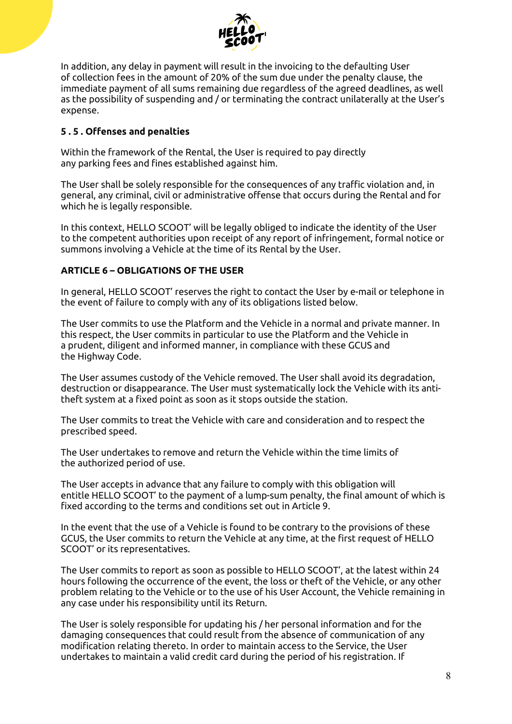

In addition, any delay in payment will result in the invoicing to the defaulting User of collection fees in the amount of 20% of the sum due under the penalty clause, the immediate payment of all sums remaining due regardless of the agreed deadlines, as well as the possibility of suspending and / or terminating the contract unilaterally at the User's expense.

# **5 . 5 . Offenses and penalties**

Within the framework of the Rental, the User is required to pay directly any parking fees and fines established against him.

The User shall be solely responsible for the consequences of any traffic violation and, in general, any criminal, civil or administrative offense that occurs during the Rental and for which he is legally responsible.

In this context, HELLO SCOOT' will be legally obliged to indicate the identity of the User to the competent authorities upon receipt of any report of infringement, formal notice or summons involving a Vehicle at the time of its Rental by the User.

# **ARTICLE 6 – OBLIGATIONS OF THE USER**

In general, HELLO SCOOT' reserves the right to contact the User by e-mail or telephone in the event of failure to comply with any of its obligations listed below.

The User commits to use the Platform and the Vehicle in a normal and private manner. In this respect, the User commits in particular to use the Platform and the Vehicle in a prudent, diligent and informed manner, in compliance with these GCUS and the Highway Code.

The User assumes custody of the Vehicle removed. The User shall avoid its degradation, destruction or disappearance. The User must systematically lock the Vehicle with its antitheft system at a fixed point as soon as it stops outside the station.

The User commits to treat the Vehicle with care and consideration and to respect the prescribed speed.

The User undertakes to remove and return the Vehicle within the time limits of the authorized period of use.

The User accepts in advance that any failure to comply with this obligation will entitle HELLO SCOOT' to the payment of a lump-sum penalty, the final amount of which is fixed according to the terms and conditions set out in Article 9.

In the event that the use of a Vehicle is found to be contrary to the provisions of these GCUS, the User commits to return the Vehicle at any time, at the first request of HELLO SCOOT' or its representatives.

The User commits to report as soon as possible to HELLO SCOOT', at the latest within 24 hours following the occurrence of the event, the loss or theft of the Vehicle, or any other problem relating to the Vehicle or to the use of his User Account, the Vehicle remaining in any case under his responsibility until its Return.

The User is solely responsible for updating his / her personal information and for the damaging consequences that could result from the absence of communication of any modification relating thereto. In order to maintain access to the Service, the User undertakes to maintain a valid credit card during the period of his registration. If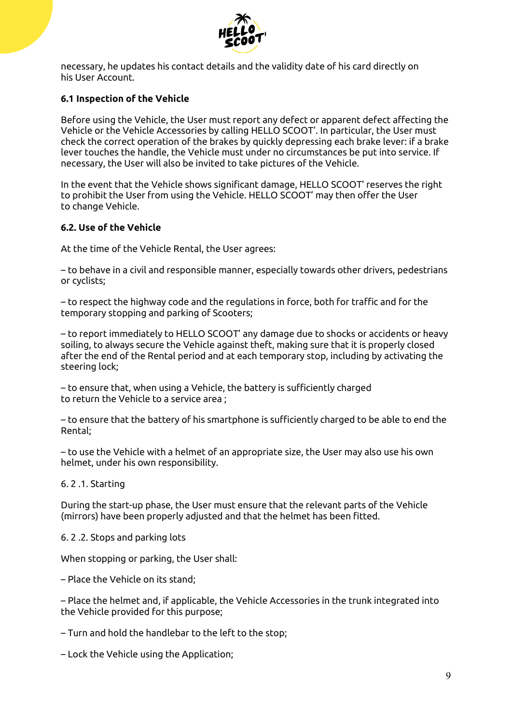

necessary, he updates his contact details and the validity date of his card directly on his User Account.

# **6.1 Inspection of the Vehicle**

Before using the Vehicle, the User must report any defect or apparent defect affecting the Vehicle or the Vehicle Accessories by calling HELLO SCOOT'. In particular, the User must check the correct operation of the brakes by quickly depressing each brake lever: if a brake lever touches the handle, the Vehicle must under no circumstances be put into service. If necessary, the User will also be invited to take pictures of the Vehicle.

In the event that the Vehicle shows significant damage, HELLO SCOOT' reserves the right to prohibit the User from using the Vehicle. HELLO SCOOT' may then offer the User to change Vehicle.

#### **6.2. Use of the Vehicle**

At the time of the Vehicle Rental, the User agrees:

– to behave in a civil and responsible manner, especially towards other drivers, pedestrians or cyclists;

– to respect the highway code and the regulations in force, both for traffic and for the temporary stopping and parking of Scooters;

– to report immediately to HELLO SCOOT' any damage due to shocks or accidents or heavy soiling, to always secure the Vehicle against theft, making sure that it is properly closed after the end of the Rental period and at each temporary stop, including by activating the steering lock;

– to ensure that, when using a Vehicle, the battery is sufficiently charged to return the Vehicle to a service area ;

– to ensure that the battery of his smartphone is sufficiently charged to be able to end the Rental;

– to use the Vehicle with a helmet of an appropriate size, the User may also use his own helmet, under his own responsibility.

6. 2 .1. Starting

During the start-up phase, the User must ensure that the relevant parts of the Vehicle (mirrors) have been properly adjusted and that the helmet has been fitted.

6. 2 .2. Stops and parking lots

When stopping or parking, the User shall:

– Place the Vehicle on its stand;

– Place the helmet and, if applicable, the Vehicle Accessories in the trunk integrated into the Vehicle provided for this purpose;

– Turn and hold the handlebar to the left to the stop;

– Lock the Vehicle using the Application;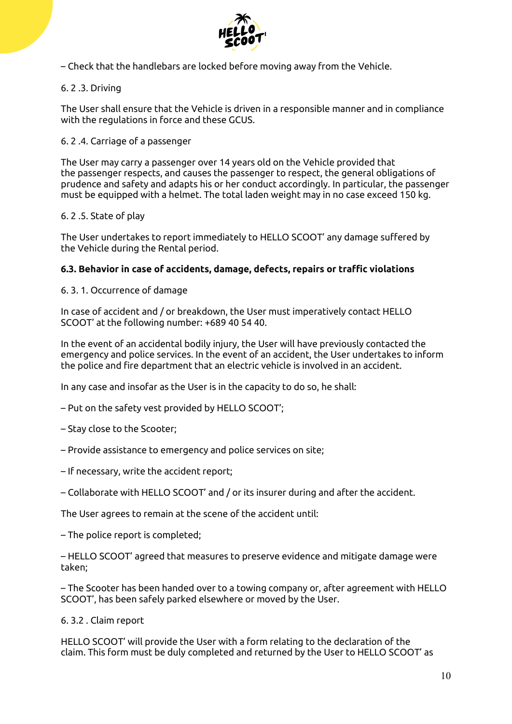

– Check that the handlebars are locked before moving away from the Vehicle.

# 6. 2 .3. Driving

The User shall ensure that the Vehicle is driven in a responsible manner and in compliance with the regulations in force and these GCUS.

# 6. 2 .4. Carriage of a passenger

The User may carry a passenger over 14 years old on the Vehicle provided that the passenger respects, and causes the passenger to respect, the general obligations of prudence and safety and adapts his or her conduct accordingly. In particular, the passenger must be equipped with a helmet. The total laden weight may in no case exceed 150 kg.

# 6. 2 .5. State of play

The User undertakes to report immediately to HELLO SCOOT' any damage suffered by the Vehicle during the Rental period.

# **6.3. Behavior in case of accidents, damage, defects, repairs or traffic violations**

# 6. 3. 1. Occurrence of damage

In case of accident and / or breakdown, the User must imperatively contact HELLO SCOOT' at the following number: +689 40 54 40.

In the event of an accidental bodily injury, the User will have previously contacted the emergency and police services. In the event of an accident, the User undertakes to inform the police and fire department that an electric vehicle is involved in an accident.

In any case and insofar as the User is in the capacity to do so, he shall:

– Put on the safety vest provided by HELLO SCOOT';

- Stay close to the Scooter;
- Provide assistance to emergency and police services on site;
- If necessary, write the accident report;
- Collaborate with HELLO SCOOT' and / or its insurer during and after the accident.

The User agrees to remain at the scene of the accident until:

– The police report is completed;

– HELLO SCOOT' agreed that measures to preserve evidence and mitigate damage were taken;

– The Scooter has been handed over to a towing company or, after agreement with HELLO SCOOT', has been safely parked elsewhere or moved by the User.

6. 3.2 . Claim report

HELLO SCOOT' will provide the User with a form relating to the declaration of the claim. This form must be duly completed and returned by the User to HELLO SCOOT' as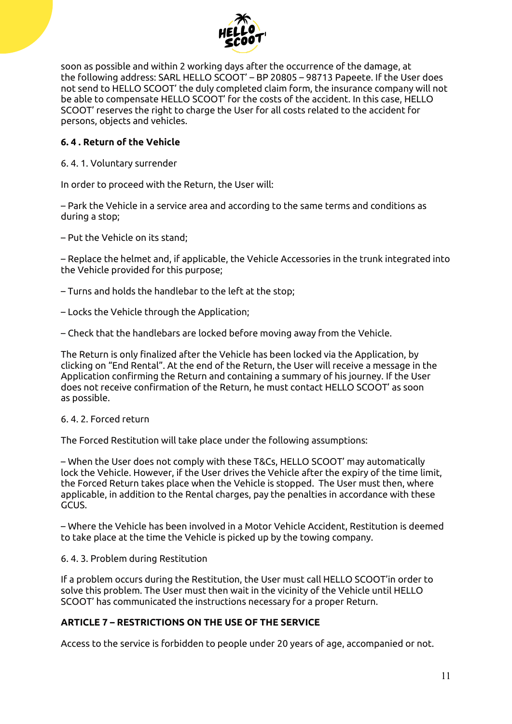

soon as possible and within 2 working days after the occurrence of the damage, at the following address: SARL HELLO SCOOT' – BP 20805 – 98713 Papeete. If the User does not send to HELLO SCOOT' the duly completed claim form, the insurance company will not be able to compensate HELLO SCOOT' for the costs of the accident. In this case, HELLO SCOOT' reserves the right to charge the User for all costs related to the accident for persons, objects and vehicles.

# **6. 4 . Return of the Vehicle**

6. 4. 1. Voluntary surrender

In order to proceed with the Return, the User will:

– Park the Vehicle in a service area and according to the same terms and conditions as during a stop;

– Put the Vehicle on its stand;

– Replace the helmet and, if applicable, the Vehicle Accessories in the trunk integrated into the Vehicle provided for this purpose;

– Turns and holds the handlebar to the left at the stop;

– Locks the Vehicle through the Application;

– Check that the handlebars are locked before moving away from the Vehicle.

The Return is only finalized after the Vehicle has been locked via the Application, by clicking on "End Rental". At the end of the Return, the User will receive a message in the Application confirming the Return and containing a summary of his journey. If the User does not receive confirmation of the Return, he must contact HELLO SCOOT' as soon as possible.

#### 6. 4. 2. Forced return

The Forced Restitution will take place under the following assumptions:

– When the User does not comply with these T&Cs, HELLO SCOOT' may automatically lock the Vehicle. However, if the User drives the Vehicle after the expiry of the time limit, the Forced Return takes place when the Vehicle is stopped. The User must then, where applicable, in addition to the Rental charges, pay the penalties in accordance with these GCUS.

– Where the Vehicle has been involved in a Motor Vehicle Accident, Restitution is deemed to take place at the time the Vehicle is picked up by the towing company.

6. 4. 3. Problem during Restitution

If a problem occurs during the Restitution, the User must call HELLO SCOOT'in order to solve this problem. The User must then wait in the vicinity of the Vehicle until HELLO SCOOT' has communicated the instructions necessary for a proper Return.

# **ARTICLE 7 – RESTRICTIONS ON THE USE OF THE SERVICE**

Access to the service is forbidden to people under 20 years of age, accompanied or not.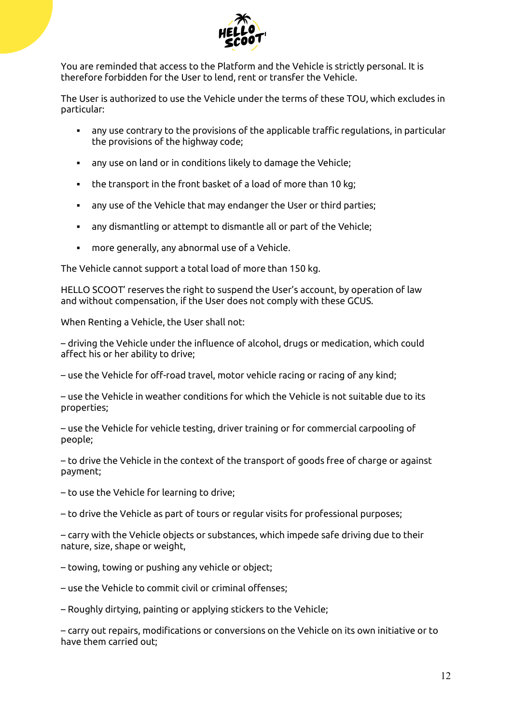

You are reminded that access to the Platform and the Vehicle is strictly personal. It is therefore forbidden for the User to lend, rent or transfer the Vehicle.

The User is authorized to use the Vehicle under the terms of these TOU, which excludes in particular:

- any use contrary to the provisions of the applicable traffic regulations, in particular the provisions of the highway code;
- any use on land or in conditions likely to damage the Vehicle;
- the transport in the front basket of a load of more than 10 kg;
- any use of the Vehicle that may endanger the User or third parties;
- any dismantling or attempt to dismantle all or part of the Vehicle;
- more generally, any abnormal use of a Vehicle.

The Vehicle cannot support a total load of more than 150 kg.

HELLO SCOOT' reserves the right to suspend the User's account, by operation of law and without compensation, if the User does not comply with these GCUS.

When Renting a Vehicle, the User shall not:

– driving the Vehicle under the influence of alcohol, drugs or medication, which could affect his or her ability to drive;

– use the Vehicle for off-road travel, motor vehicle racing or racing of any kind;

– use the Vehicle in weather conditions for which the Vehicle is not suitable due to its properties;

– use the Vehicle for vehicle testing, driver training or for commercial carpooling of people;

– to drive the Vehicle in the context of the transport of goods free of charge or against payment;

– to use the Vehicle for learning to drive;

– to drive the Vehicle as part of tours or regular visits for professional purposes;

– carry with the Vehicle objects or substances, which impede safe driving due to their nature, size, shape or weight,

– towing, towing or pushing any vehicle or object;

– use the Vehicle to commit civil or criminal offenses;

– Roughly dirtying, painting or applying stickers to the Vehicle;

– carry out repairs, modifications or conversions on the Vehicle on its own initiative or to have them carried out;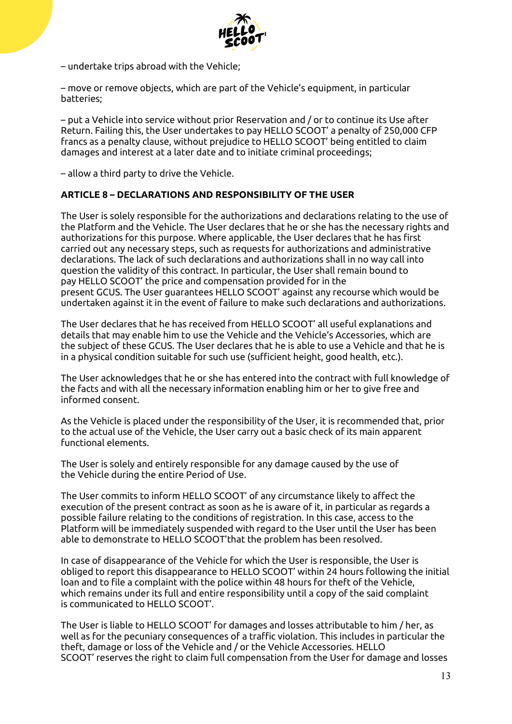

– undertake trips abroad with the Vehicle;

– move or remove objects, which are part of the Vehicle's equipment, in particular batteries;

– put a Vehicle into service without prior Reservation and / or to continue its Use after Return. Failing this, the User undertakes to pay HELLO SCOOT' a penalty of 250,000 CFP francs as a penalty clause, without prejudice to HELLO SCOOT' being entitled to claim damages and interest at a later date and to initiate criminal proceedings;

– allow a third party to drive the Vehicle.

#### **ARTICLE 8 – DECLARATIONS AND RESPONSIBILITY OF THE USER**

The User is solely responsible for the authorizations and declarations relating to the use of the Platform and the Vehicle. The User declares that he or she has the necessary rights and authorizations for this purpose. Where applicable, the User declares that he has first carried out any necessary steps, such as requests for authorizations and administrative declarations. The lack of such declarations and authorizations shall in no way call into question the validity of this contract. In particular, the User shall remain bound to pay HELLO SCOOT' the price and compensation provided for in the present GCUS. The User guarantees HELLO SCOOT' against any recourse which would be undertaken against it in the event of failure to make such declarations and authorizations.

The User declares that he has received from HELLO SCOOT' all useful explanations and details that may enable him to use the Vehicle and the Vehicle's Accessories, which are the subject of these GCUS. The User declares that he is able to use a Vehicle and that he is in a physical condition suitable for such use (sufficient height, good health, etc.).

The User acknowledges that he or she has entered into the contract with full knowledge of the facts and with all the necessary information enabling him or her to give free and informed consent.

As the Vehicle is placed under the responsibility of the User, it is recommended that, prior to the actual use of the Vehicle, the User carry out a basic check of its main apparent functional elements.

The User is solely and entirely responsible for any damage caused by the use of the Vehicle during the entire Period of Use.

The User commits to inform HELLO SCOOT' of any circumstance likely to affect the execution of the present contract as soon as he is aware of it, in particular as regards a possible failure relating to the conditions of registration. In this case, access to the Platform will be immediately suspended with regard to the User until the User has been able to demonstrate to HELLO SCOOT'that the problem has been resolved.

In case of disappearance of the Vehicle for which the User is responsible, the User is obliged to report this disappearance to HELLO SCOOT' within 24 hours following the initial loan and to file a complaint with the police within 48 hours for theft of the Vehicle, which remains under its full and entire responsibility until a copy of the said complaint is communicated to HELLO SCOOT'.

The User is liable to HELLO SCOOT' for damages and losses attributable to him / her, as well as for the pecuniary consequences of a traffic violation. This includes in particular the theft, damage or loss of the Vehicle and / or the Vehicle Accessories. HELLO SCOOT' reserves the right to claim full compensation from the User for damage and losses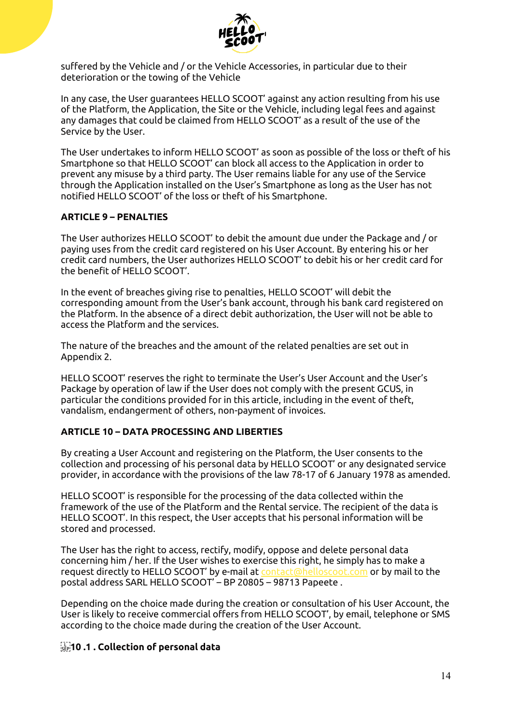

suffered by the Vehicle and / or the Vehicle Accessories, in particular due to their deterioration or the towing of the Vehicle

In any case, the User guarantees HELLO SCOOT' against any action resulting from his use of the Platform, the Application, the Site or the Vehicle, including legal fees and against any damages that could be claimed from HELLO SCOOT' as a result of the use of the Service by the User.

The User undertakes to inform HELLO SCOOT' as soon as possible of the loss or theft of his Smartphone so that HELLO SCOOT' can block all access to the Application in order to prevent any misuse by a third party. The User remains liable for any use of the Service through the Application installed on the User's Smartphone as long as the User has not notified HELLO SCOOT' of the loss or theft of his Smartphone.

# **ARTICLE 9 – PENALTIES**

The User authorizes HELLO SCOOT' to debit the amount due under the Package and / or paying uses from the credit card registered on his User Account. By entering his or her credit card numbers, the User authorizes HELLO SCOOT' to debit his or her credit card for the benefit of HELLO SCOOT'.

In the event of breaches giving rise to penalties, HELLO SCOOT' will debit the corresponding amount from the User's bank account, through his bank card registered on the Platform. In the absence of a direct debit authorization, the User will not be able to access the Platform and the services.

The nature of the breaches and the amount of the related penalties are set out in Appendix 2.

HELLO SCOOT' reserves the right to terminate the User's User Account and the User's Package by operation of law if the User does not comply with the present GCUS, in particular the conditions provided for in this article, including in the event of theft, vandalism, endangerment of others, non-payment of invoices.

# **ARTICLE 10 – DATA PROCESSING AND LIBERTIES**

By creating a User Account and registering on the Platform, the User consents to the collection and processing of his personal data by HELLO SCOOT' or any designated service provider, in accordance with the provisions of the law 78-17 of 6 January 1978 as amended.

HELLO SCOOT' is responsible for the processing of the data collected within the framework of the use of the Platform and the Rental service. The recipient of the data is HELLO SCOOT'. In this respect, the User accepts that his personal information will be stored and processed.

The User has the right to access, rectify, modify, oppose and delete personal data concerning him / her. If the User wishes to exercise this right, he simply has to make a request directly to HELLO SCOOT' by e-mail at [contact@helloscoot.com](mailto:contact@helloscoot.com) or by mail to the postal address SARL HELLO SCOOT' – BP 20805 – 98713 Papeete .

Depending on the choice made during the creation or consultation of his User Account, the User is likely to receive commercial offers from HELLO SCOOT', by email, telephone or SMS according to the choice made during the creation of the User Account.

# **10 .1 . Collection of personal data**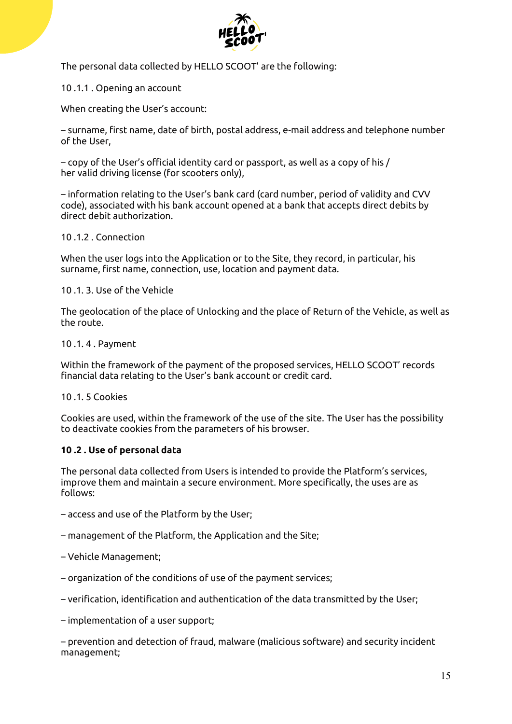

The personal data collected by HELLO SCOOT' are the following:

10 .1.1 . Opening an account

When creating the User's account:

– surname, first name, date of birth, postal address, e-mail address and telephone number of the User,

– copy of the User's official identity card or passport, as well as a copy of his / her valid driving license (for scooters only),

– information relating to the User's bank card (card number, period of validity and CVV code), associated with his bank account opened at a bank that accepts direct debits by direct debit authorization.

#### 10 .1.2 . Connection

When the user logs into the Application or to the Site, they record, in particular, his surname, first name, connection, use, location and payment data.

#### 10 .1. 3. Use of the Vehicle

The geolocation of the place of Unlocking and the place of Return of the Vehicle, as well as the route.

#### 10 .1. 4 . Payment

Within the framework of the payment of the proposed services, HELLO SCOOT' records financial data relating to the User's bank account or credit card.

#### 10 .1. 5 Cookies

Cookies are used, within the framework of the use of the site. The User has the possibility to deactivate cookies from the parameters of his browser.

#### **10 .2 . Use of personal data**

The personal data collected from Users is intended to provide the Platform's services, improve them and maintain a secure environment. More specifically, the uses are as follows:

- access and use of the Platform by the User;
- management of the Platform, the Application and the Site;
- Vehicle Management;
- organization of the conditions of use of the payment services;
- verification, identification and authentication of the data transmitted by the User;

– implementation of a user support;

– prevention and detection of fraud, malware (malicious software) and security incident management;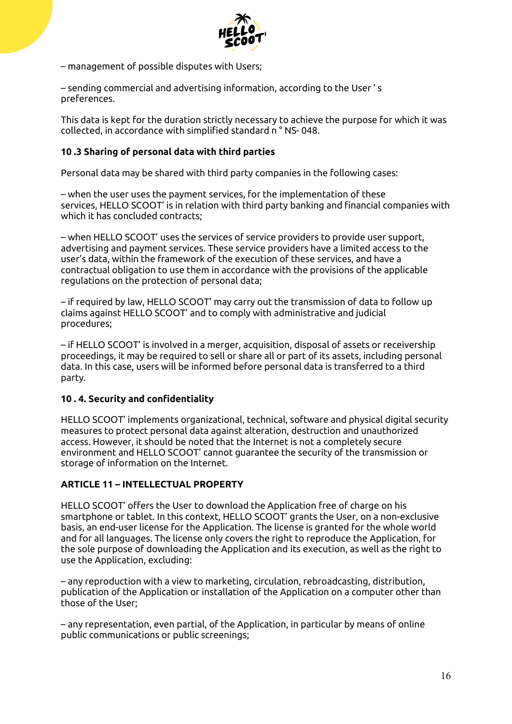

– management of possible disputes with Users;

– sending commercial and advertising information, according to the User ' s preferences.

This data is kept for the duration strictly necessary to achieve the purpose for which it was collected, in accordance with simplified standard n ° NS- 048.

#### **10 .3 Sharing of personal data with third parties**

Personal data may be shared with third party companies in the following cases:

– when the user uses the payment services, for the implementation of these services, HELLO SCOOT' is in relation with third party banking and financial companies with which it has concluded contracts;

– when HELLO SCOOT' uses the services of service providers to provide user support, advertising and payment services. These service providers have a limited access to the user's data, within the framework of the execution of these services, and have a contractual obligation to use them in accordance with the provisions of the applicable regulations on the protection of personal data;

– if required by law, HELLO SCOOT' may carry out the transmission of data to follow up claims against HELLO SCOOT' and to comply with administrative and judicial procedures;

– if HELLO SCOOT' is involved in a merger, acquisition, disposal of assets or receivership proceedings, it may be required to sell or share all or part of its assets, including personal data. In this case, users will be informed before personal data is transferred to a third party.

#### **10 . 4. Security and confidentiality**

HELLO SCOOT' implements organizational, technical, software and physical digital security measures to protect personal data against alteration, destruction and unauthorized access. However, it should be noted that the Internet is not a completely secure environment and HELLO SCOOT' cannot guarantee the security of the transmission or storage of information on the Internet.

#### **ARTICLE 11 – INTELLECTUAL PROPERTY**

HELLO SCOOT' offers the User to download the Application free of charge on his smartphone or tablet. In this context, HELLO SCOOT' grants the User, on a non-exclusive basis, an end-user license for the Application. The license is granted for the whole world and for all languages. The license only covers the right to reproduce the Application, for the sole purpose of downloading the Application and its execution, as well as the right to use the Application, excluding:

– any reproduction with a view to marketing, circulation, rebroadcasting, distribution, publication of the Application or installation of the Application on a computer other than those of the User;

– any representation, even partial, of the Application, in particular by means of online public communications or public screenings;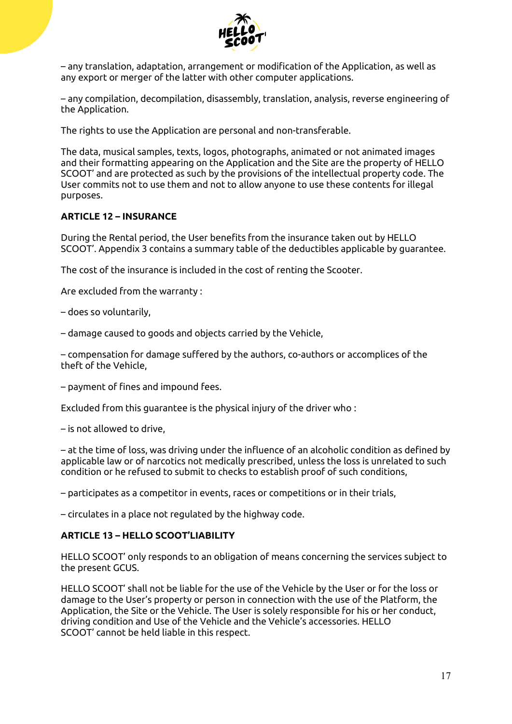

– any translation, adaptation, arrangement or modification of the Application, as well as any export or merger of the latter with other computer applications.

– any compilation, decompilation, disassembly, translation, analysis, reverse engineering of the Application.

The rights to use the Application are personal and non-transferable.

The data, musical samples, texts, logos, photographs, animated or not animated images and their formatting appearing on the Application and the Site are the property of HELLO SCOOT' and are protected as such by the provisions of the intellectual property code. The User commits not to use them and not to allow anyone to use these contents for illegal purposes.

#### **ARTICLE 12 – INSURANCE**

During the Rental period, the User benefits from the insurance taken out by HELLO SCOOT'. Appendix 3 contains a summary table of the deductibles applicable by guarantee.

The cost of the insurance is included in the cost of renting the Scooter.

Are excluded from the warranty :

– does so voluntarily,

– damage caused to goods and objects carried by the Vehicle,

– compensation for damage suffered by the authors, co-authors or accomplices of the theft of the Vehicle,

– payment of fines and impound fees.

Excluded from this guarantee is the physical injury of the driver who :

– is not allowed to drive,

– at the time of loss, was driving under the influence of an alcoholic condition as defined by applicable law or of narcotics not medically prescribed, unless the loss is unrelated to such condition or he refused to submit to checks to establish proof of such conditions,

– participates as a competitor in events, races or competitions or in their trials,

– circulates in a place not regulated by the highway code.

#### **ARTICLE 13 – HELLO SCOOT'LIABILITY**

HELLO SCOOT' only responds to an obligation of means concerning the services subject to the present GCUS.

HELLO SCOOT' shall not be liable for the use of the Vehicle by the User or for the loss or damage to the User's property or person in connection with the use of the Platform, the Application, the Site or the Vehicle. The User is solely responsible for his or her conduct, driving condition and Use of the Vehicle and the Vehicle's accessories. HELLO SCOOT' cannot be held liable in this respect.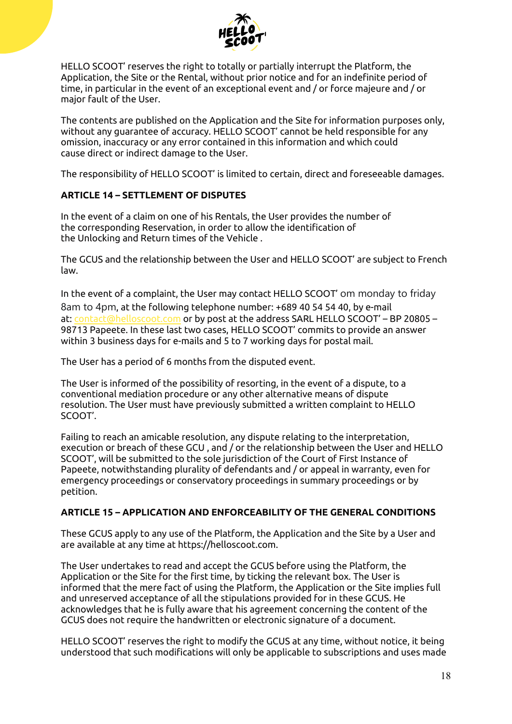

HELLO SCOOT' reserves the right to totally or partially interrupt the Platform, the Application, the Site or the Rental, without prior notice and for an indefinite period of time, in particular in the event of an exceptional event and / or force majeure and / or major fault of the User.

The contents are published on the Application and the Site for information purposes only, without any guarantee of accuracy. HELLO SCOOT' cannot be held responsible for any omission, inaccuracy or any error contained in this information and which could cause direct or indirect damage to the User.

The responsibility of HELLO SCOOT' is limited to certain, direct and foreseeable damages.

# **ARTICLE 14 – SETTLEMENT OF DISPUTES**

In the event of a claim on one of his Rentals, the User provides the number of the corresponding Reservation, in order to allow the identification of the Unlocking and Return times of the Vehicle .

The GCUS and the relationship between the User and HELLO SCOOT' are subject to French law.

In the event of a complaint, the User may contact HELLO SCOOT' om monday to friday 8am to 4pm, at the following telephone number: +689 40 54 54 40, by e-mail at: [contact@helloscoot.com](mailto:contact@helloscoot.com) or by post at the address SARL HELLO SCOOT' – BP 20805 – 98713 Papeete. In these last two cases, HELLO SCOOT' commits to provide an answer within 3 business days for e-mails and 5 to 7 working days for postal mail.

The User has a period of 6 months from the disputed event.

The User is informed of the possibility of resorting, in the event of a dispute, to a conventional mediation procedure or any other alternative means of dispute resolution. The User must have previously submitted a written complaint to HELLO SCOOT'.

Failing to reach an amicable resolution, any dispute relating to the interpretation, execution or breach of these GCU , and / or the relationship between the User and HELLO SCOOT', will be submitted to the sole jurisdiction of the Court of First Instance of Papeete, notwithstanding plurality of defendants and / or appeal in warranty, even for emergency proceedings or conservatory proceedings in summary proceedings or by petition.

# **ARTICLE 15 – APPLICATION AND ENFORCEABILITY OF THE GENERAL CONDITIONS**

These GCUS apply to any use of the Platform, the Application and the Site by a User and are available at any time at https://helloscoot.com.

The User undertakes to read and accept the GCUS before using the Platform, the Application or the Site for the first time, by ticking the relevant box. The User is informed that the mere fact of using the Platform, the Application or the Site implies full and unreserved acceptance of all the stipulations provided for in these GCUS. He acknowledges that he is fully aware that his agreement concerning the content of the GCUS does not require the handwritten or electronic signature of a document.

HELLO SCOOT' reserves the right to modify the GCUS at any time, without notice, it being understood that such modifications will only be applicable to subscriptions and uses made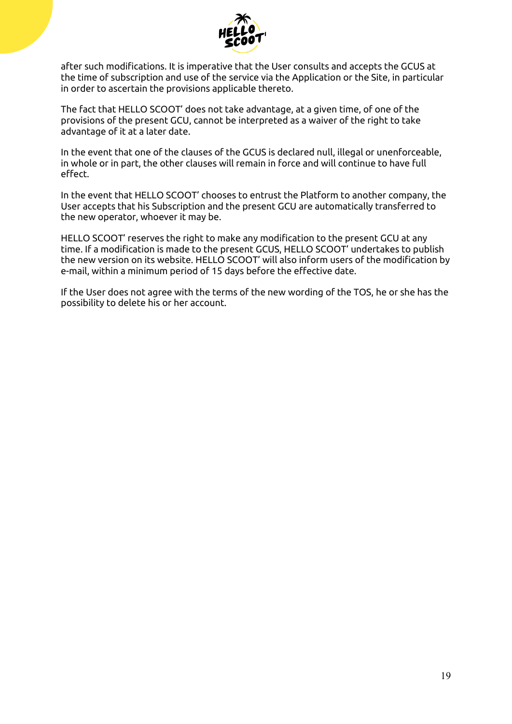

after such modifications. It is imperative that the User consults and accepts the GCUS at the time of subscription and use of the service via the Application or the Site, in particular in order to ascertain the provisions applicable thereto.

The fact that HELLO SCOOT' does not take advantage, at a given time, of one of the provisions of the present GCU, cannot be interpreted as a waiver of the right to take advantage of it at a later date.

In the event that one of the clauses of the GCUS is declared null, illegal or unenforceable, in whole or in part, the other clauses will remain in force and will continue to have full effect.

In the event that HELLO SCOOT' chooses to entrust the Platform to another company, the User accepts that his Subscription and the present GCU are automatically transferred to the new operator, whoever it may be.

HELLO SCOOT' reserves the right to make any modification to the present GCU at any time. If a modification is made to the present GCUS, HELLO SCOOT' undertakes to publish the new version on its website. HELLO SCOOT' will also inform users of the modification by e-mail, within a minimum period of 15 days before the effective date.

If the User does not agree with the terms of the new wording of the TOS, he or she has the possibility to delete his or her account.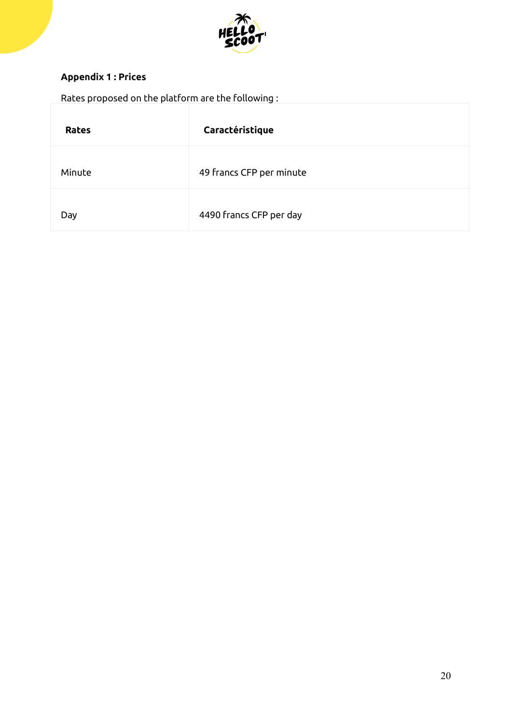

# **Appendix 1 : Prices**

| Rates proposed on the platform are the following : |                          |  |  |  |
|----------------------------------------------------|--------------------------|--|--|--|
| <b>Rates</b>                                       | Caractéristique          |  |  |  |
| Minute                                             | 49 francs CFP per minute |  |  |  |
| Day                                                | 4490 francs CFP per day  |  |  |  |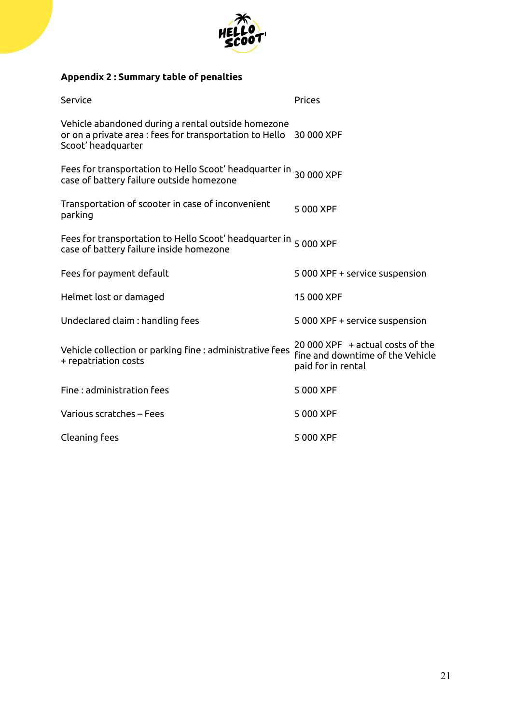

# **Appendix 2 : Summary table of penalties**

| Service                                                                                                                                        | Prices                                                                                        |
|------------------------------------------------------------------------------------------------------------------------------------------------|-----------------------------------------------------------------------------------------------|
| Vehicle abandoned during a rental outside homezone<br>or on a private area : fees for transportation to Hello 30 000 XPF<br>Scoot' headquarter |                                                                                               |
| Fees for transportation to Hello Scoot' headquarter in 30 000 XPF<br>case of battery failure outside homezone                                  |                                                                                               |
| Transportation of scooter in case of inconvenient<br>parking                                                                                   | 5 000 XPF                                                                                     |
| Fees for transportation to Hello Scoot' headquarter in 5 000 XPF<br>case of battery failure inside homezone                                    |                                                                                               |
| Fees for payment default                                                                                                                       | 5 000 XPF + service suspension                                                                |
| Helmet lost or damaged                                                                                                                         | 15 000 XPF                                                                                    |
| Undeclared claim : handling fees                                                                                                               | 5 000 XPF + service suspension                                                                |
| Vehicle collection or parking fine : administrative fees<br>+ repatriation costs                                                               | $20000$ XPF $+$ actual costs of the<br>fine and downtime of the Vehicle<br>paid for in rental |
| Fine: administration fees                                                                                                                      | 5 000 XPF                                                                                     |
| Various scratches - Fees                                                                                                                       | 5 000 XPF                                                                                     |
| Cleaning fees                                                                                                                                  | 5 000 XPF                                                                                     |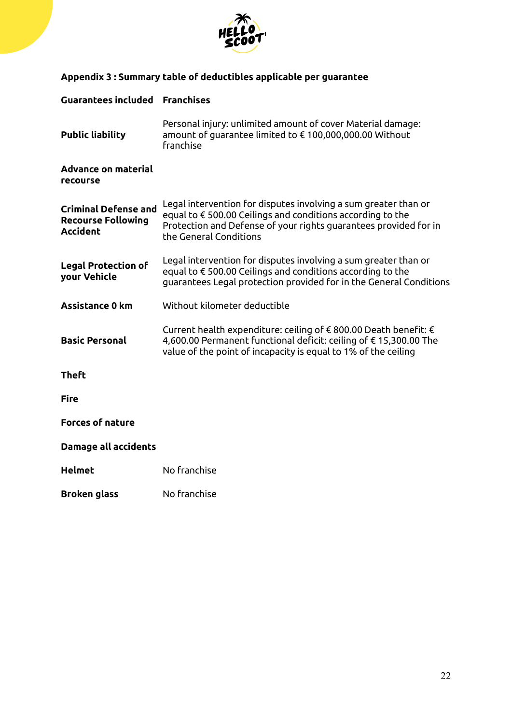

# **Appendix 3 : Summary table of deductibles applicable per guarantee**

# **Guarantees included Franchises Public liability** Personal injury: unlimited amount of cover Material damage: amount of guarantee limited to € 100,000,000.00 Without franchise **Advance on material recourse Criminal Defense and Recourse Following Accident** Legal intervention for disputes involving a sum greater than or equal to € 500.00 Ceilings and conditions according to the Protection and Defense of your rights guarantees provided for in the General Conditions **Legal Protection of your Vehicle** Legal intervention for disputes involving a sum greater than or equal to € 500.00 Ceilings and conditions according to the guarantees Legal protection provided for in the General Conditions **Assistance 0 km** Without kilometer deductible **Basic Personal** Current health expenditure: ceiling of € 800.00 Death benefit: € 4,600.00 Permanent functional deficit: ceiling of € 15,300.00 The value of the point of incapacity is equal to 1% of the ceiling **Theft Fire Forces of nature Damage all accidents Helmet** No franchise **Broken glass** No franchise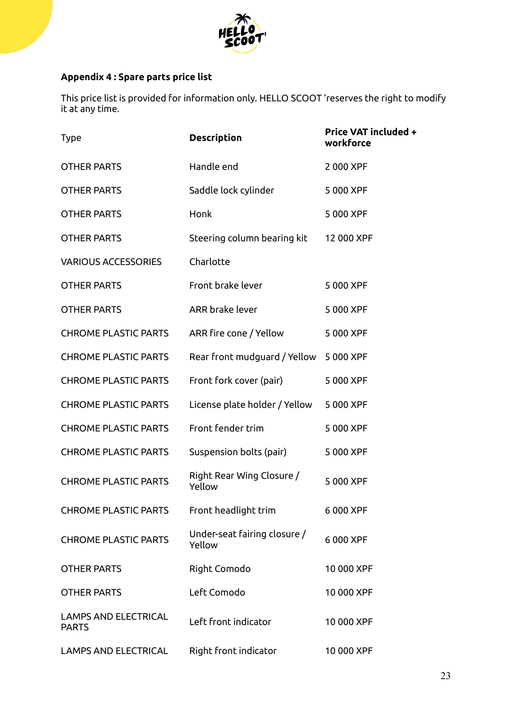

# **Appendix 4 : Spare parts price list**

This price list is provided for information only. HELLO SCOOT 'reserves the right to modify it at any time.

| <b>Type</b>                                 | <b>Description</b>                     | <b>Price VAT included +</b><br>workforce |
|---------------------------------------------|----------------------------------------|------------------------------------------|
| <b>OTHER PARTS</b>                          | Handle end                             | 2 000 XPF                                |
| <b>OTHER PARTS</b>                          | Saddle lock cylinder                   | 5 000 XPF                                |
| <b>OTHER PARTS</b>                          | Honk                                   | 5 000 XPF                                |
| <b>OTHER PARTS</b>                          | Steering column bearing kit            | 12 000 XPF                               |
| <b>VARIOUS ACCESSORIES</b>                  | Charlotte                              |                                          |
| <b>OTHER PARTS</b>                          | Front brake lever                      | 5 000 XPF                                |
| <b>OTHER PARTS</b>                          | ARR brake lever                        | 5 000 XPF                                |
| <b>CHROME PLASTIC PARTS</b>                 | ARR fire cone / Yellow                 | 5 000 XPF                                |
| <b>CHROME PLASTIC PARTS</b>                 | Rear front mudguard / Yellow           | 5 000 XPF                                |
| <b>CHROME PLASTIC PARTS</b>                 | Front fork cover (pair)                | 5 000 XPF                                |
| <b>CHROME PLASTIC PARTS</b>                 | License plate holder / Yellow          | 5 000 XPF                                |
| <b>CHROME PLASTIC PARTS</b>                 | Front fender trim                      | 5 000 XPF                                |
| <b>CHROME PLASTIC PARTS</b>                 | Suspension bolts (pair)                | 5 000 XPF                                |
| <b>CHROME PLASTIC PARTS</b>                 | Right Rear Wing Closure /<br>Yellow    | 5 000 XPF                                |
| <b>CHROME PLASTIC PARTS</b>                 | Front headlight trim                   | 6 000 XPF                                |
| <b>CHROME PLASTIC PARTS</b>                 | Under-seat fairing closure /<br>Yellow | 6 000 XPF                                |
| <b>OTHER PARTS</b>                          | Right Comodo                           | 10 000 XPF                               |
| <b>OTHER PARTS</b>                          | Left Comodo                            | 10 000 XPF                               |
| <b>LAMPS AND ELECTRICAL</b><br><b>PARTS</b> | Left front indicator                   | 10 000 XPF                               |
| <b>LAMPS AND ELECTRICAL</b>                 | Right front indicator                  | 10 000 XPF                               |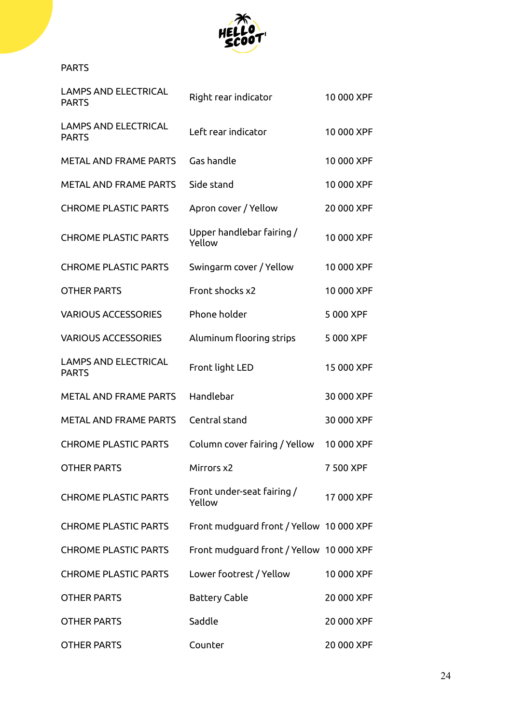

# PARTS

| <b>LAMPS AND ELECTRICAL</b><br><b>PARTS</b> | Right rear indicator                     | 10 000 XPF |
|---------------------------------------------|------------------------------------------|------------|
| <b>LAMPS AND ELECTRICAL</b><br><b>PARTS</b> | Left rear indicator                      | 10 000 XPF |
| <b>METAL AND FRAME PARTS</b>                | Gas handle                               | 10 000 XPF |
| <b>METAL AND FRAME PARTS</b>                | Side stand                               | 10 000 XPF |
| <b>CHROME PLASTIC PARTS</b>                 | Apron cover / Yellow                     | 20 000 XPF |
| <b>CHROME PLASTIC PARTS</b>                 | Upper handlebar fairing /<br>Yellow      | 10 000 XPF |
| <b>CHROME PLASTIC PARTS</b>                 | Swingarm cover / Yellow                  | 10 000 XPF |
| <b>OTHER PARTS</b>                          | Front shocks x2                          | 10 000 XPF |
| <b>VARIOUS ACCESSORIES</b>                  | Phone holder                             | 5 000 XPF  |
| <b>VARIOUS ACCESSORIES</b>                  | Aluminum flooring strips                 | 5 000 XPF  |
| <b>LAMPS AND ELECTRICAL</b><br><b>PARTS</b> | Front light LED                          | 15 000 XPF |
| <b>METAL AND FRAME PARTS</b>                | Handlebar                                | 30 000 XPF |
| <b>METAL AND FRAME PARTS</b>                | Central stand                            | 30 000 XPF |
| <b>CHROME PLASTIC PARTS</b>                 | Column cover fairing / Yellow            | 10 000 XPF |
| <b>OTHER PARTS</b>                          | Mirrors x2                               | 7 500 XPF  |
| <b>CHROME PLASTIC PARTS</b>                 | Front under-seat fairing /<br>Yellow     | 17 000 XPF |
| <b>CHROME PLASTIC PARTS</b>                 | Front mudguard front / Yellow 10 000 XPF |            |
| <b>CHROME PLASTIC PARTS</b>                 | Front mudguard front / Yellow 10 000 XPF |            |
| <b>CHROME PLASTIC PARTS</b>                 | Lower footrest / Yellow                  | 10 000 XPF |
| <b>OTHER PARTS</b>                          | <b>Battery Cable</b>                     | 20 000 XPF |
| OTHER PARTS                                 | Saddle                                   | 20 000 XPF |
| <b>OTHER PARTS</b>                          | Counter                                  | 20 000 XPF |